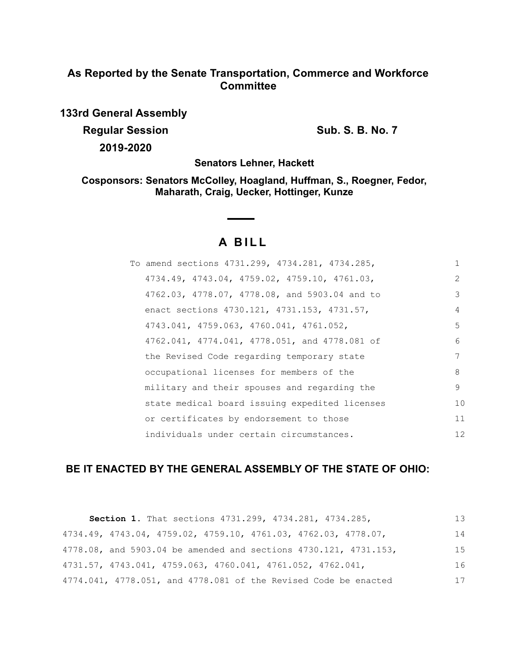# **As Reported by the Senate Transportation, Commerce and Workforce Committee**

**133rd General Assembly Regular Session Sub. S. B. No. 7 Sub. S. B. No. 7 2019-2020**

**Senators Lehner, Hackett**

**Cosponsors: Senators McColley, Hoagland, Huffman, S., Roegner, Fedor, Maharath, Craig, Uecker, Hottinger, Kunze**

 $\overline{\phantom{0}}$ 

# **A B I L L**

**Contract Contract** 

| To amend sections 4731.299, 4734.281, 4734.285, |               |
|-------------------------------------------------|---------------|
| 4734.49, 4743.04, 4759.02, 4759.10, 4761.03,    | $\mathcal{L}$ |
| 4762.03, 4778.07, 4778.08, and 5903.04 and to   | 3             |
| enact sections 4730.121, 4731.153, 4731.57,     | 4             |
| 4743.041, 4759.063, 4760.041, 4761.052,         | 5             |
| 4762.041, 4774.041, 4778.051, and 4778.081 of   | 6             |
| the Revised Code regarding temporary state      | 7             |
| occupational licenses for members of the        | 8             |
| military and their spouses and regarding the    | 9             |
| state medical board issuing expedited licenses  | 10            |
| or certificates by endorsement to those         | 11            |
| individuals under certain circumstances.        | 12            |
|                                                 |               |

## **BE IT ENACTED BY THE GENERAL ASSEMBLY OF THE STATE OF OHIO:**

| Section 1. That sections 4731.299, 4734.281, 4734.285,                       | 13 |
|------------------------------------------------------------------------------|----|
| 4734.49, 4743.04, 4759.02, 4759.10, 4761.03, 4762.03, 4778.07,               | 14 |
| 4778.08, and 5903.04 be amended and sections 4730.121, 4731.153,             | 15 |
| $4731.57$ , $4743.041$ , $4759.063$ , $4760.041$ , $4761.052$ , $4762.041$ , | 16 |
| 4774.041, 4778.051, and 4778.081 of the Revised Code be enacted              | 17 |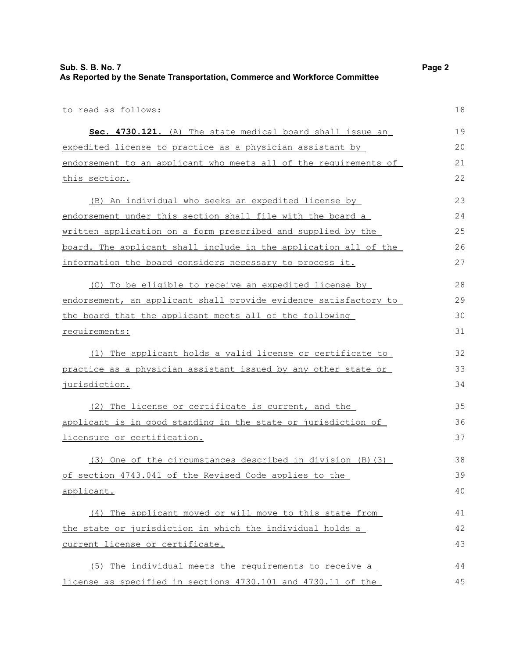**Sub. S. B. No. 7 Page 2 As Reported by the Senate Transportation, Commerce and Workforce Committee**

to read as follows: **Sec. 4730.121.** (A) The state medical board shall issue an expedited license to practice as a physician assistant by endorsement to an applicant who meets all of the requirements of this section. (B) An individual who seeks an expedited license by endorsement under this section shall file with the board a written application on a form prescribed and supplied by the board. The applicant shall include in the application all of the information the board considers necessary to process it. (C) To be eligible to receive an expedited license by endorsement, an applicant shall provide evidence satisfactory to the board that the applicant meets all of the following requirements: (1) The applicant holds a valid license or certificate to practice as a physician assistant issued by any other state or 18 19 20 21 22 23 24 25 26 27 28 29 30 31 32 33

(2) The license or certificate is current, and the applicant is in good standing in the state or jurisdiction of licensure or certification.

jurisdiction.

(3) One of the circumstances described in division (B)(3) of section 4743.041 of the Revised Code applies to the applicant.

(4) The applicant moved or will move to this state from the state or jurisdiction in which the individual holds a current license or certificate. 41 42 43

(5) The individual meets the requirements to receive a license as specified in sections 4730.101 and 4730.11 of the 44 45

34

35 36 37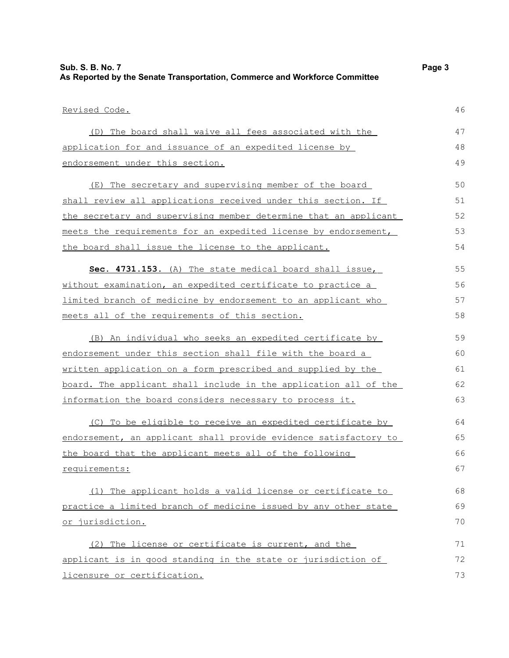| Sub. S. B. No. 7                                                           | Page 3 |
|----------------------------------------------------------------------------|--------|
| As Reported by the Senate Transportation, Commerce and Workforce Committee |        |

| Revised Code.                                                    | 46 |
|------------------------------------------------------------------|----|
| (D) The board shall waive all fees associated with the           | 47 |
| application for and issuance of an expedited license by          | 48 |
| endorsement under this section.                                  | 49 |
| (E) The secretary and supervising member of the board            | 50 |
| shall review all applications received under this section. If    | 51 |
| the secretary and supervising member determine that an applicant | 52 |
| meets the requirements for an expedited license by endorsement,  | 53 |
| the board shall issue the license to the applicant.              | 54 |
| Sec. 4731.153. (A) The state medical board shall issue,          | 55 |
| without examination, an expedited certificate to practice a      | 56 |
| limited branch of medicine by endorsement to an applicant who    | 57 |
| meets all of the requirements of this section.                   | 58 |
| (B) An individual who seeks an expedited certificate by          | 59 |
| endorsement under this section shall file with the board a       | 60 |
| written application on a form prescribed and supplied by the     | 61 |
| board. The applicant shall include in the application all of the | 62 |
| information the board considers necessary to process it.         | 63 |
| (C) To be eligible to receive an expedited certificate by        | 64 |
| endorsement, an applicant shall provide evidence satisfactory to | 65 |
| the board that the applicant meets all of the following          | 66 |
| requirements:                                                    | 67 |
| (1) The applicant holds a valid license or certificate to        | 68 |
| practice a limited branch of medicine issued by any other state  | 69 |
| or jurisdiction.                                                 | 70 |
| (2) The license or certificate is current, and the               | 71 |

(2) The license or certificate is current, and the applicant is in good standing in the state or jurisdiction of licensure or certification. 72 73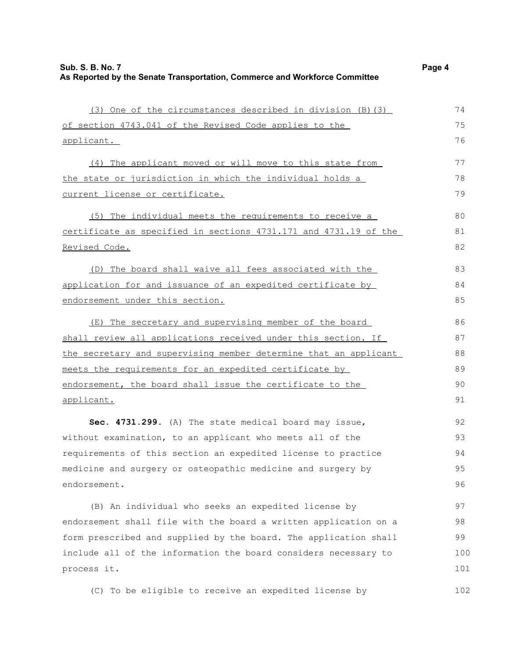| (3) One of the circumstances described in division (B) (3)       | 74  |
|------------------------------------------------------------------|-----|
| of section 4743.041 of the Revised Code applies to the           | 75  |
| applicant.                                                       | 76  |
| (4) The applicant moved or will move to this state from          | 77  |
| the state or jurisdiction in which the individual holds a        | 78  |
| current license or certificate.                                  | 79  |
| (5) The individual meets the requirements to receive a           | 80  |
| certificate as specified in sections 4731.171 and 4731.19 of the | 81  |
| Revised Code.                                                    | 82  |
| (D) The board shall waive all fees associated with the           | 83  |
| application for and issuance of an expedited certificate by      | 84  |
| endorsement under this section.                                  | 85  |
| (E) The secretary and supervising member of the board            | 86  |
| shall review all applications received under this section. If    | 87  |
| the secretary and supervising member determine that an applicant | 88  |
| meets the requirements for an expedited certificate by           | 89  |
| endorsement, the board shall issue the certificate to the        | 90  |
| applicant.                                                       | 91  |
| Sec. 4731.299. (A) The state medical board may issue,            | 92  |
| without examination, to an applicant who meets all of the        | 93  |
| requirements of this section an expedited license to practice    | 94  |
| medicine and surgery or osteopathic medicine and surgery by      | 95  |
| endorsement.                                                     | 96  |
| (B) An individual who seeks an expedited license by              | 97  |
| endorsement shall file with the board a written application on a | 98  |
| form prescribed and supplied by the board. The application shall | 99  |
| include all of the information the board considers necessary to  | 100 |
| process it.                                                      | 101 |
| (C) To be eligible to receive an expedited license by            | 102 |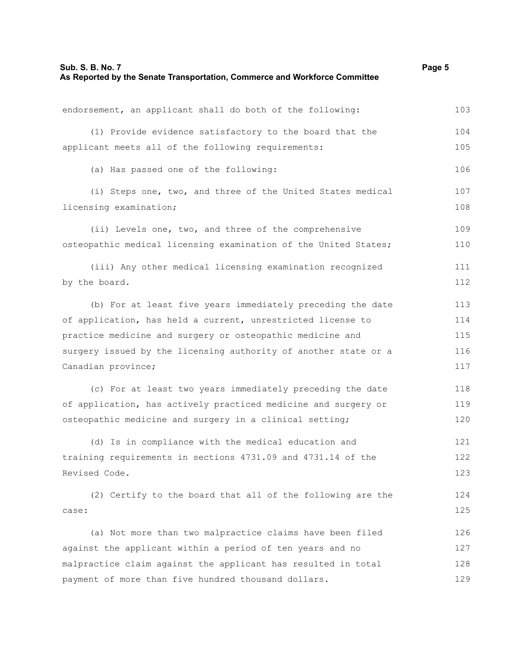| endorsement, an applicant shall do both of the following:       | 103 |
|-----------------------------------------------------------------|-----|
| (1) Provide evidence satisfactory to the board that the         | 104 |
| applicant meets all of the following requirements:              | 105 |
| (a) Has passed one of the following:                            | 106 |
| (i) Steps one, two, and three of the United States medical      | 107 |
| licensing examination;                                          | 108 |
| (ii) Levels one, two, and three of the comprehensive            | 109 |
| osteopathic medical licensing examination of the United States; | 110 |
| (iii) Any other medical licensing examination recognized        | 111 |
| by the board.                                                   | 112 |
| (b) For at least five years immediately preceding the date      | 113 |
| of application, has held a current, unrestricted license to     | 114 |
| practice medicine and surgery or osteopathic medicine and       | 115 |
| surgery issued by the licensing authority of another state or a | 116 |
| Canadian province;                                              | 117 |
| (c) For at least two years immediately preceding the date       | 118 |
| of application, has actively practiced medicine and surgery or  | 119 |
| osteopathic medicine and surgery in a clinical setting;         | 120 |
| (d) Is in compliance with the medical education and             | 121 |
| training requirements in sections 4731.09 and 4731.14 of the    | 122 |
| Revised Code.                                                   | 123 |
| (2) Certify to the board that all of the following are the      | 124 |
| case:                                                           | 125 |
| (a) Not more than two malpractice claims have been filed        | 126 |
| against the applicant within a period of ten years and no       | 127 |
| malpractice claim against the applicant has resulted in total   | 128 |
| payment of more than five hundred thousand dollars.             | 129 |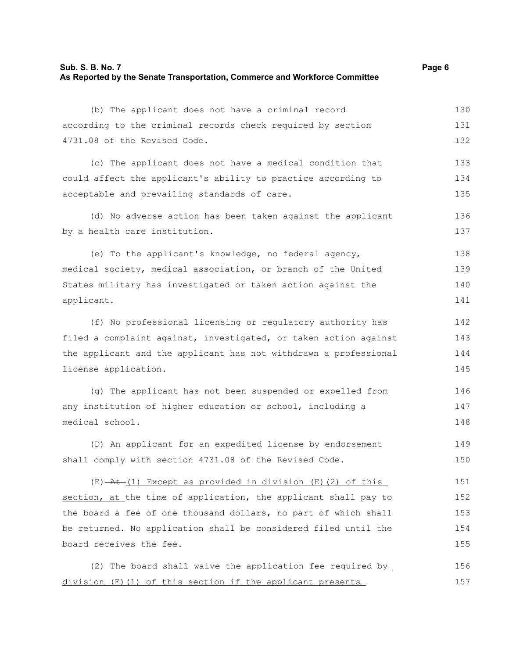| Sub. S. B. No. 7                                                           | Page 6 |
|----------------------------------------------------------------------------|--------|
| As Reported by the Senate Transportation, Commerce and Workforce Committee |        |

| (b) The applicant does not have a criminal record                | 130 |
|------------------------------------------------------------------|-----|
| according to the criminal records check required by section      | 131 |
| 4731.08 of the Revised Code.                                     | 132 |
| (c) The applicant does not have a medical condition that         | 133 |
| could affect the applicant's ability to practice according to    | 134 |
| acceptable and prevailing standards of care.                     | 135 |
| (d) No adverse action has been taken against the applicant       | 136 |
| by a health care institution.                                    | 137 |
| (e) To the applicant's knowledge, no federal agency,             | 138 |
| medical society, medical association, or branch of the United    | 139 |
| States military has investigated or taken action against the     | 140 |
| applicant.                                                       | 141 |
| (f) No professional licensing or regulatory authority has        | 142 |
| filed a complaint against, investigated, or taken action against | 143 |
| the applicant and the applicant has not withdrawn a professional | 144 |
| license application.                                             | 145 |
| (g) The applicant has not been suspended or expelled from        | 146 |
| any institution of higher education or school, including a       | 147 |
| medical school.                                                  | 148 |
| (D) An applicant for an expedited license by endorsement         | 149 |
| shall comply with section 4731.08 of the Revised Code.           | 150 |

 $(E)$   $At$   $(1)$  Except as provided in division  $(E)$   $(2)$  of this section, at the time of application, the applicant shall pay to the board a fee of one thousand dollars, no part of which shall be returned. No application shall be considered filed until the board receives the fee. 151 152 153 154 155

|  | (2) The board shall waive the application fee required by    |  | 156 |
|--|--------------------------------------------------------------|--|-----|
|  | division $(E)$ (1) of this section if the applicant presents |  | 157 |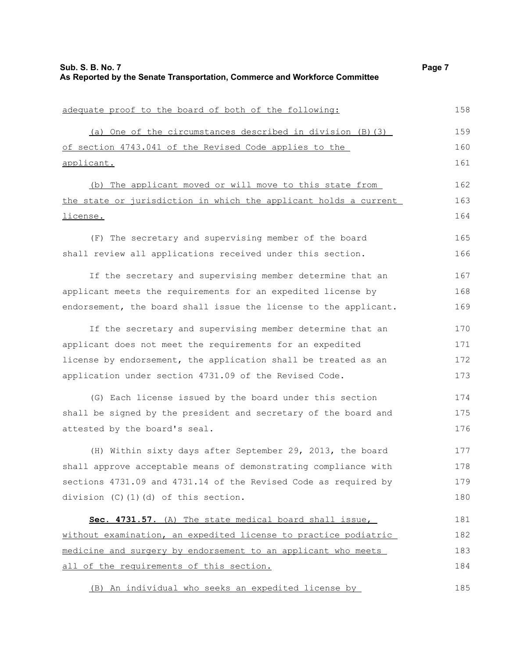| adequate proof to the board of both of the following:            | 158 |
|------------------------------------------------------------------|-----|
| (a) One of the circumstances described in division (B) (3)       | 159 |
| of section 4743.041 of the Revised Code applies to the           | 160 |
| applicant.                                                       | 161 |
| (b) The applicant moved or will move to this state from          | 162 |
| the state or jurisdiction in which the applicant holds a current | 163 |
| license.                                                         | 164 |
| (F) The secretary and supervising member of the board            | 165 |
| shall review all applications received under this section.       | 166 |
| If the secretary and supervising member determine that an        | 167 |
| applicant meets the requirements for an expedited license by     | 168 |
| endorsement, the board shall issue the license to the applicant. | 169 |
| If the secretary and supervising member determine that an        | 170 |
| applicant does not meet the requirements for an expedited        | 171 |
| license by endorsement, the application shall be treated as an   | 172 |
| application under section 4731.09 of the Revised Code.           | 173 |
| (G) Each license issued by the board under this section          | 174 |
| shall be signed by the president and secretary of the board and  | 175 |
| attested by the board's seal.                                    | 176 |
| (H) Within sixty days after September 29, 2013, the board        | 177 |
| shall approve acceptable means of demonstrating compliance with  | 178 |
| sections 4731.09 and 4731.14 of the Revised Code as required by  | 179 |
| division (C)(1)(d) of this section.                              | 180 |
| Sec. 4731.57. (A) The state medical board shall issue,           | 181 |
| without examination, an expedited license to practice podiatric  | 182 |
| medicine and surgery by endorsement to an applicant who meets    | 183 |
| all of the requirements of this section.                         | 184 |
| (B) An individual who seeks an expedited license by              | 185 |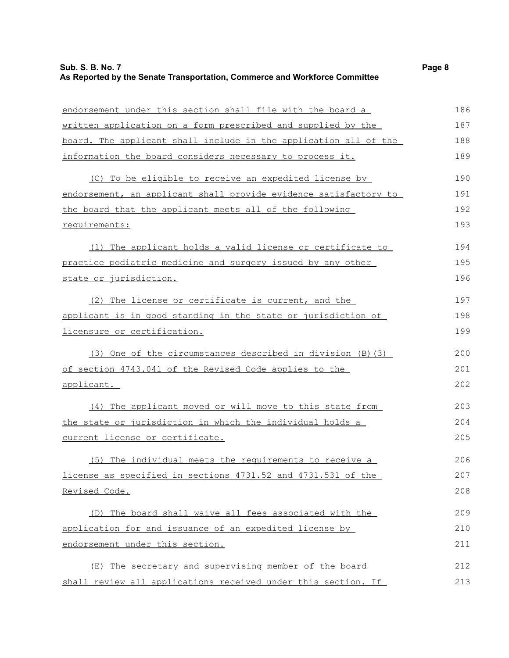| Sub. S. B. No. 7                                                           | Page 8 |
|----------------------------------------------------------------------------|--------|
| As Reported by the Senate Transportation, Commerce and Workforce Committee |        |

| endorsement under this section shall file with the board a       | 186 |
|------------------------------------------------------------------|-----|
| written application on a form prescribed and supplied by the     | 187 |
| board. The applicant shall include in the application all of the | 188 |
| information the board considers necessary to process it.         | 189 |
| (C) To be eligible to receive an expedited license by            | 190 |
| endorsement, an applicant shall provide evidence satisfactory to | 191 |
| the board that the applicant meets all of the following          | 192 |
| requirements:                                                    | 193 |
| (1) The applicant holds a valid license or certificate to        | 194 |
| practice podiatric medicine and surgery issued by any other      | 195 |
| state or jurisdiction.                                           | 196 |
| (2) The license or certificate is current, and the               | 197 |
| applicant is in good standing in the state or jurisdiction of    | 198 |
| licensure or certification.                                      | 199 |
| (3) One of the circumstances described in division (B) (3)       | 200 |
| of section 4743.041 of the Revised Code applies to the           | 201 |
| applicant.                                                       | 202 |
| (4) The applicant moved or will move to this state from          | 203 |
| the state or jurisdiction in which the individual holds a        | 204 |
| current license or certificate.                                  | 205 |
| (5) The individual meets the requirements to receive a           | 206 |
| license as specified in sections 4731.52 and 4731.531 of the     | 207 |
| <u>Revised Code.</u>                                             | 208 |
| (D) The board shall waive all fees associated with the           | 209 |
| application for and issuance of an expedited license by          | 210 |
| endorsement under this section.                                  | 211 |
| (E) The secretary and supervising member of the board            | 212 |
| shall review all applications received under this section. If    | 213 |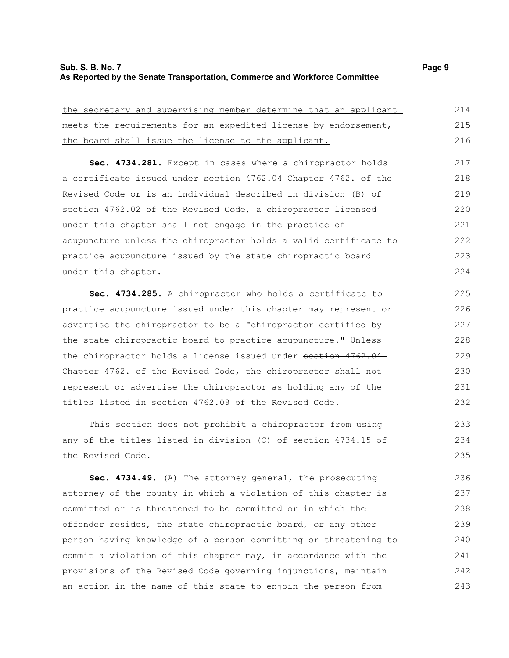| the secretary and supervising member determine that an applicant                                                                                          | 214           |
|-----------------------------------------------------------------------------------------------------------------------------------------------------------|---------------|
| meets the requirements for an expedited license by endorsement,                                                                                           | 215           |
| the board shall issue the license to the applicant.                                                                                                       | 216           |
| Sec. 4734.281. Except in cases where a chiropractor holds                                                                                                 | 217           |
| a certificate issued under section 4762.04 Chapter 4762. of the                                                                                           | 218           |
| Revised Code or is an individual described in division (B) of                                                                                             | 219           |
| section 4762.02 of the Revised Code, a chiropractor licensed                                                                                              | 220           |
| under this chapter shall not engage in the practice of                                                                                                    | 221           |
| acupuncture unless the chiropractor holds a valid certificate to                                                                                          | 222           |
| practice acupuncture issued by the state chiropractic board                                                                                               | 223           |
| under this chapter.                                                                                                                                       | 224           |
| Sec. 4734.285. A chiropractor who holds a certificate to                                                                                                  | 225           |
| practice acupuncture issued under this chapter may represent or                                                                                           | 226           |
|                                                                                                                                                           | 227           |
| advertise the chiropractor to be a "chiropractor certified by<br>international and concernation descend the constant as reaccommunical Highway (1972) and | $\cap$ $\cap$ |
|                                                                                                                                                           |               |

the state chiropractic board to practice acupuncture." Unless the chiropractor holds a license issued under section 4762.04 Chapter 4762. of the Revised Code, the chiropractor shall not represent or advertise the chiropractor as holding any of the titles listed in section 4762.08 of the Revised Code. 228 229 230 231 232

This section does not prohibit a chiropractor from using any of the titles listed in division (C) of section 4734.15 of the Revised Code. 233 234 235

**Sec. 4734.49.** (A) The attorney general, the prosecuting attorney of the county in which a violation of this chapter is committed or is threatened to be committed or in which the offender resides, the state chiropractic board, or any other person having knowledge of a person committing or threatening to commit a violation of this chapter may, in accordance with the provisions of the Revised Code governing injunctions, maintain an action in the name of this state to enjoin the person from 236 237 238 239 240 241 242 243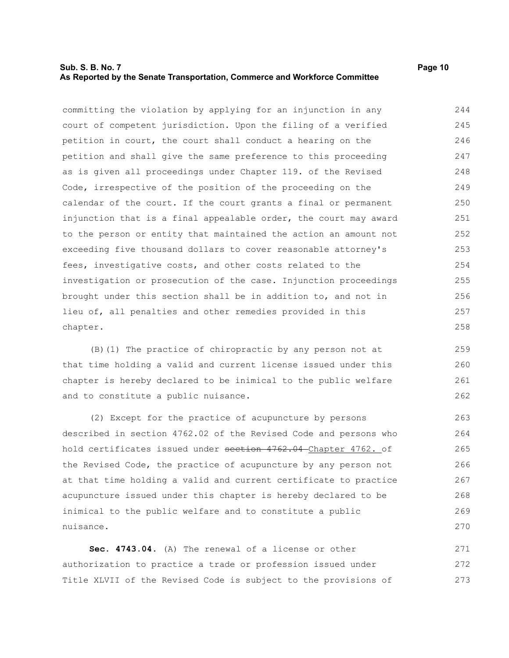#### **Sub. S. B. No. 7 Page 10 As Reported by the Senate Transportation, Commerce and Workforce Committee**

committing the violation by applying for an injunction in any court of competent jurisdiction. Upon the filing of a verified petition in court, the court shall conduct a hearing on the petition and shall give the same preference to this proceeding as is given all proceedings under Chapter 119. of the Revised Code, irrespective of the position of the proceeding on the calendar of the court. If the court grants a final or permanent injunction that is a final appealable order, the court may award to the person or entity that maintained the action an amount not exceeding five thousand dollars to cover reasonable attorney's fees, investigative costs, and other costs related to the investigation or prosecution of the case. Injunction proceedings brought under this section shall be in addition to, and not in lieu of, all penalties and other remedies provided in this chapter. 244 245 246 247 248 249 250 251 252 253 254 255 256 257 258

(B)(1) The practice of chiropractic by any person not at that time holding a valid and current license issued under this chapter is hereby declared to be inimical to the public welfare and to constitute a public nuisance.

(2) Except for the practice of acupuncture by persons described in section 4762.02 of the Revised Code and persons who hold certificates issued under section 4762.04 Chapter 4762. of the Revised Code, the practice of acupuncture by any person not at that time holding a valid and current certificate to practice acupuncture issued under this chapter is hereby declared to be inimical to the public welfare and to constitute a public nuisance.

**Sec. 4743.04.** (A) The renewal of a license or other authorization to practice a trade or profession issued under Title XLVII of the Revised Code is subject to the provisions of 271 272 273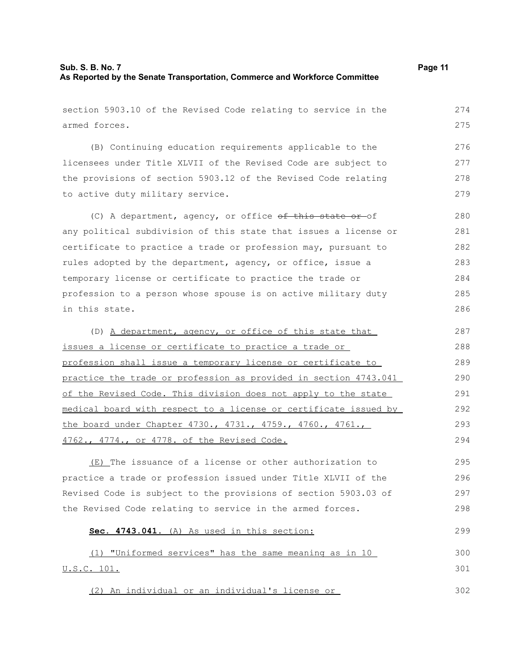section 5903.10 of the Revised Code relating to service in the armed forces. (B) Continuing education requirements applicable to the licensees under Title XLVII of the Revised Code are subject to the provisions of section 5903.12 of the Revised Code relating to active duty military service. (C) A department, agency, or office of this state or of any political subdivision of this state that issues a license or certificate to practice a trade or profession may, pursuant to rules adopted by the department, agency, or office, issue a temporary license or certificate to practice the trade or profession to a person whose spouse is on active military duty in this state. (D) A department, agency, or office of this state that issues a license or certificate to practice a trade or profession shall issue a temporary license or certificate to practice the trade or profession as provided in section 4743.041 of the Revised Code. This division does not apply to the state medical board with respect to a license or certificate issued by the board under Chapter 4730., 4731., 4759., 4760., 4761., 4762., 4774., or 4778. of the Revised Code. (E) The issuance of a license or other authorization to 275 276 277 278 279 280 281 282 283 284 285 286 287 288 289 290 291 292 293 294 295

practice a trade or profession issued under Title XLVII of the Revised Code is subject to the provisions of section 5903.03 of the Revised Code relating to service in the armed forces.

#### **Sec. 4743.041.** (A) As used in this section:

| (1) "Uniformed services" has the same meaning as in 10 | 300 |
|--------------------------------------------------------|-----|
| U.S.C. 101.                                            | 301 |
| (2) An individual or an individual's license or        | 302 |

274

296 297 298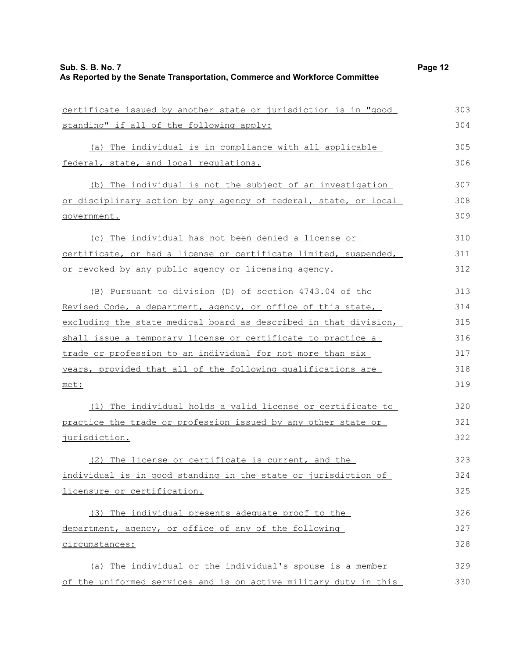**Sub. S. B. No. 7 Page 12 As Reported by the Senate Transportation, Commerce and Workforce Committee**

government.

certificate issued by another state or jurisdiction is in "good standing" if all of the following apply: (a) The individual is in compliance with all applicable federal, state, and local regulations. (b) The individual is not the subject of an investigation or disciplinary action by any agency of federal, state, or local (c) The individual has not been denied a license or 303 304 305 306 307 308 309 310 311

certificate, or had a license or certificate limited, suspended, or revoked by any public agency or licensing agency.

(B) Pursuant to division (D) of section 4743.04 of the Revised Code, a department, agency, or office of this state, excluding the state medical board as described in that division, shall issue a temporary license or certificate to practice a trade or profession to an individual for not more than six years, provided that all of the following qualifications are met: 313 314 315 316 317 318 319

(1) The individual holds a valid license or certificate to practice the trade or profession issued by any other state or jurisdiction.

(2) The license or certificate is current, and the individual is in good standing in the state or jurisdiction of licensure or certification. 323 324 325

(3) The individual presents adequate proof to the department, agency, or office of any of the following circumstances: 326 327 328

 (a) The individual or the individual's spouse is a member of the uniformed services and is on active military duty in this 329 330

312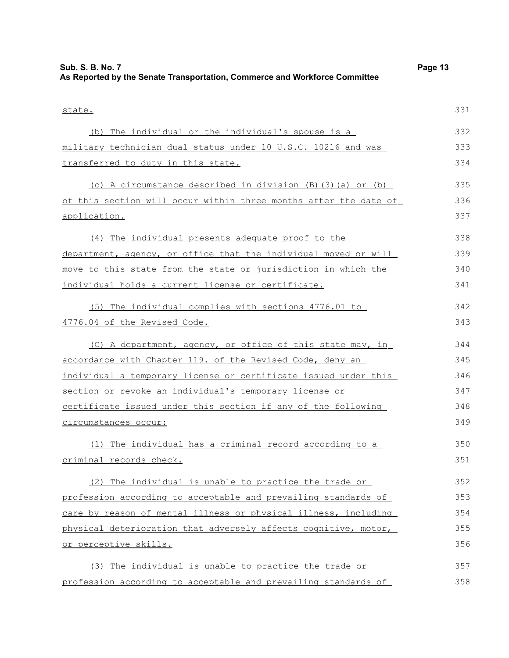| Sub. S. B. No. 7<br>As Reported by the Senate Transportation, Commerce and Workforce Committee | Page 13 |
|------------------------------------------------------------------------------------------------|---------|
| state.                                                                                         | 331     |
| (b) The individual or the individual's spouse is a                                             | 332     |
| military technician dual status under 10 U.S.C. 10216 and was                                  | 333     |
| transferred to duty in this state.                                                             | 334     |
| (c) A circumstance described in division (B)(3)(a) or (b)                                      | 335     |
| of this section will occur within three months after the date of                               | 336     |
| application.                                                                                   | 337     |
| (4) The individual presents adequate proof to the                                              | 338     |
| department, agency, or office that the individual moved or will                                | 339     |
| move to this state from the state or jurisdiction in which the                                 | 340     |
| individual holds a current license or certificate.                                             | 341     |
| (5) The individual complies with sections 4776.01 to                                           | 342     |
| 4776.04 of the Revised Code.                                                                   | 343     |
| (C) A department, agency, or office of this state may, in                                      | 344     |
| accordance with Chapter 119. of the Revised Code, deny an                                      | 345     |
| individual a temporary license or certificate issued under this                                | 346     |
| section or revoke an individual's temporary license or                                         | 347     |
| certificate issued under this section if any of the following                                  | 348     |
| circumstances occur:                                                                           | 349     |
| (1) The individual has a criminal record according to a                                        | 350     |
| criminal records check.                                                                        | 351     |
| (2) The individual is unable to practice the trade or                                          | 352     |
| profession according to acceptable and prevailing standards of                                 | 353     |
| care by reason of mental illness or physical illness, including                                | 354     |
| physical deterioration that adversely affects cognitive, motor,                                | 355     |
| or perceptive skills.                                                                          | 356     |
| (3) The individual is unable to practice the trade or                                          | 357     |
| profession according to acceptable and prevailing standards of                                 | 358     |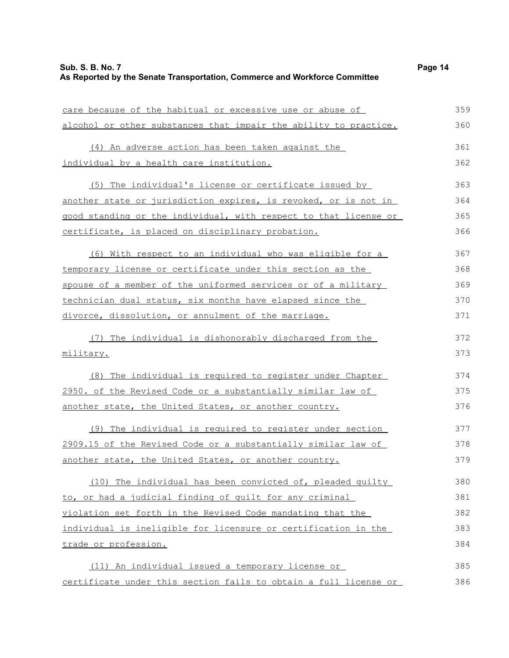| care because of the habitual or excessive use or abuse of          | 359 |
|--------------------------------------------------------------------|-----|
| alcohol or other substances that impair the ability to practice.   | 360 |
| (4) An adverse action has been taken against the                   | 361 |
| individual by a health care institution.                           | 362 |
|                                                                    |     |
| (5) The individual's license or certificate issued by              | 363 |
| another state or jurisdiction expires, is revoked, or is not in    | 364 |
| good standing or the individual, with respect to that license or   | 365 |
| certificate, is placed on disciplinary probation.                  | 366 |
| (6) With respect to an individual who was eligible for a           | 367 |
| temporary license or certificate under this section as the         | 368 |
| spouse of a member of the uniformed services or of a military      | 369 |
| technician dual status, six months have elapsed since the          | 370 |
| divorce, dissolution, or annulment of the marriage.                | 371 |
| (7) The individual is dishonorably discharged from the             | 372 |
| military.                                                          | 373 |
| (8) The individual is required to register under Chapter           | 374 |
| <u>2950. of the Revised Code or a substantially similar law of</u> | 375 |
| another state, the United States, or another country.              | 376 |
| (9) The individual is required to register under section           | 377 |
| 2909.15 of the Revised Code or a substantially similar law of      | 378 |
| another state, the United States, or another country.              | 379 |
| (10) The individual has been convicted of, pleaded quilty          | 380 |
| to, or had a judicial finding of quilt for any criminal            | 381 |
| violation set forth in the Revised Code mandating that the         | 382 |
| individual is ineligible for licensure or certification in the     | 383 |
| trade or profession.                                               | 384 |
|                                                                    | 385 |
| certificate under this section fails to obtain a full license or   | 386 |
| (11) An individual issued a temporary license or                   |     |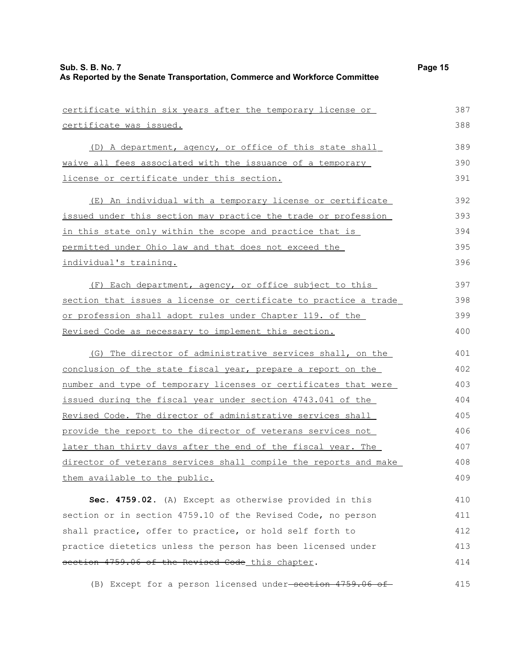| certificate within six years after the temporary license or      | 387 |
|------------------------------------------------------------------|-----|
| <u>certificate was issued.</u>                                   | 388 |
| (D) A department, agency, or office of this state shall          | 389 |
| waive all fees associated with the issuance of a temporary       | 390 |
| license or certificate under this section.                       | 391 |
| (E) An individual with a temporary license or certificate        | 392 |
| issued under this section may practice the trade or profession   | 393 |
| in this state only within the scope and practice that is         | 394 |
| permitted under Ohio law and that does not exceed the            | 395 |
| individual's training.                                           | 396 |
| (F) Each department, agency, or office subject to this           | 397 |
| section that issues a license or certificate to practice a trade | 398 |
| or profession shall adopt rules under Chapter 119. of the        | 399 |
| Revised Code as necessary to implement this section.             | 400 |
| (G) The director of administrative services shall, on the        | 401 |
| conclusion of the state fiscal year, prepare a report on the     | 402 |
| number and type of temporary licenses or certificates that were  | 403 |
| issued during the fiscal year under section 4743.041 of the      | 404 |
| Revised Code. The director of administrative services shall      | 405 |
| provide the report to the director of veterans services not      | 406 |
| later than thirty days after the end of the fiscal year. The     | 407 |

director of veterans services shall compile the reports and make them available to the public. 408 409

**Sec. 4759.02.** (A) Except as otherwise provided in this section or in section 4759.10 of the Revised Code, no person shall practice, offer to practice, or hold self forth to practice dietetics unless the person has been licensed under section 4759.06 of the Revised Code this chapter. 410 411 412 413 414

(B) Except for a person licensed under-section 4759.06 of 415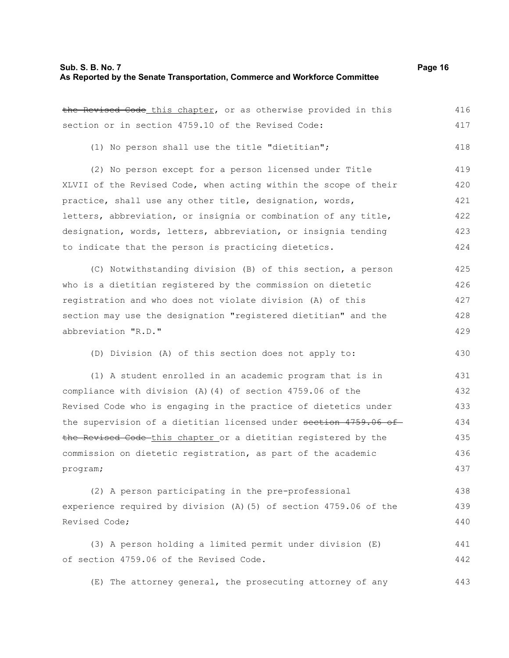the Revised Code this chapter, or as otherwise provided in this section or in section 4759.10 of the Revised Code: (1) No person shall use the title "dietitian"; (2) No person except for a person licensed under Title XLVII of the Revised Code, when acting within the scope of their practice, shall use any other title, designation, words, letters, abbreviation, or insignia or combination of any title, designation, words, letters, abbreviation, or insignia tending to indicate that the person is practicing dietetics. 416 417 418 419 420 421 422 423 424

(C) Notwithstanding division (B) of this section, a person who is a dietitian registered by the commission on dietetic registration and who does not violate division (A) of this section may use the designation "registered dietitian" and the abbreviation "R.D." 425 426 427 428 429

(D) Division (A) of this section does not apply to:

(1) A student enrolled in an academic program that is in compliance with division (A)(4) of section 4759.06 of the Revised Code who is engaging in the practice of dietetics under the supervision of a dietitian licensed under section 4759.06 of the Revised Code-this chapter or a dietitian registered by the commission on dietetic registration, as part of the academic program; 431 432 433 434 435 436 437

(2) A person participating in the pre-professional experience required by division (A)(5) of section 4759.06 of the Revised Code; 438 439 440

(3) A person holding a limited permit under division (E) of section 4759.06 of the Revised Code. 441 442

(E) The attorney general, the prosecuting attorney of any 443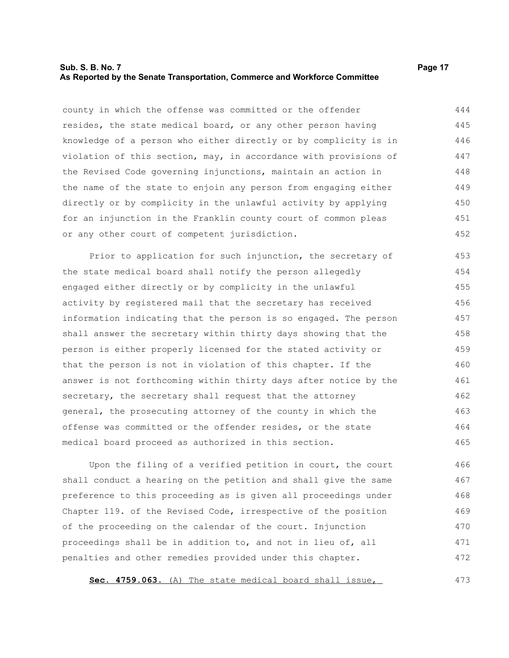#### **Sub. S. B. No. 7 Page 17 As Reported by the Senate Transportation, Commerce and Workforce Committee**

county in which the offense was committed or the offender resides, the state medical board, or any other person having knowledge of a person who either directly or by complicity is in violation of this section, may, in accordance with provisions of the Revised Code governing injunctions, maintain an action in the name of the state to enjoin any person from engaging either directly or by complicity in the unlawful activity by applying for an injunction in the Franklin county court of common pleas or any other court of competent jurisdiction. 444 445 446 447 448 449 450 451 452

Prior to application for such injunction, the secretary of the state medical board shall notify the person allegedly engaged either directly or by complicity in the unlawful activity by registered mail that the secretary has received information indicating that the person is so engaged. The person shall answer the secretary within thirty days showing that the person is either properly licensed for the stated activity or that the person is not in violation of this chapter. If the answer is not forthcoming within thirty days after notice by the secretary, the secretary shall request that the attorney general, the prosecuting attorney of the county in which the offense was committed or the offender resides, or the state medical board proceed as authorized in this section. 453 454 455 456 457 458 459 460 461 462 463 464 465

Upon the filing of a verified petition in court, the court shall conduct a hearing on the petition and shall give the same preference to this proceeding as is given all proceedings under Chapter 119. of the Revised Code, irrespective of the position of the proceeding on the calendar of the court. Injunction proceedings shall be in addition to, and not in lieu of, all penalties and other remedies provided under this chapter. 466 467 468 469 470 471 472

**Sec. 4759.063.** (A) The state medical board shall issue,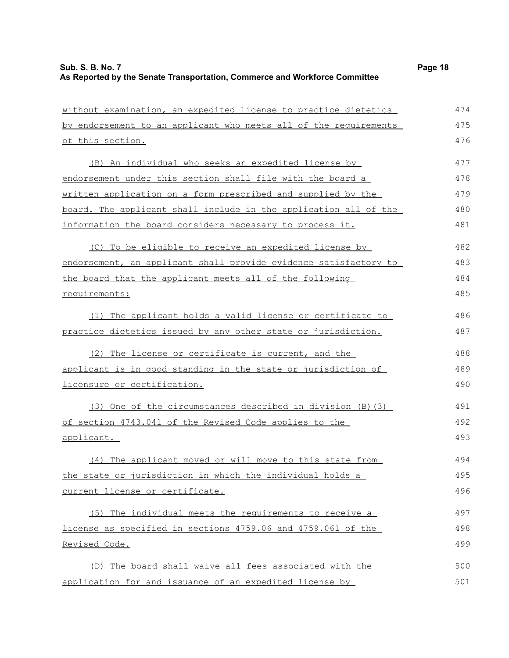| without examination, an expedited license to practice dietetics  | 474 |
|------------------------------------------------------------------|-----|
| by endorsement to an applicant who meets all of the requirements | 475 |
| of this section.                                                 | 476 |
| (B) An individual who seeks an expedited license by              | 477 |
| endorsement under this section shall file with the board a       | 478 |
| written application on a form prescribed and supplied by the     | 479 |
| board. The applicant shall include in the application all of the | 480 |
| information the board considers necessary to process it.         | 481 |
| (C) To be eligible to receive an expedited license by            | 482 |
| endorsement, an applicant shall provide evidence satisfactory to | 483 |
| the board that the applicant meets all of the following          | 484 |
| requirements:                                                    | 485 |
| (1) The applicant holds a valid license or certificate to        | 486 |
| practice dietetics issued by any other state or jurisdiction.    | 487 |
| (2) The license or certificate is current, and the               | 488 |
| applicant is in good standing in the state or jurisdiction of    | 489 |
| licensure or certification.                                      | 490 |
|                                                                  |     |

(3) One of the circumstances described in division (B)(3) of section 4743.041 of the Revised Code applies to the applicant. 491 492 493

(4) The applicant moved or will move to this state from the state or jurisdiction in which the individual holds a current license or certificate. 494 495 496

(5) The individual meets the requirements to receive a license as specified in sections 4759.06 and 4759.061 of the Revised Code. 497 498 499

(D) The board shall waive all fees associated with the application for and issuance of an expedited license by 500 501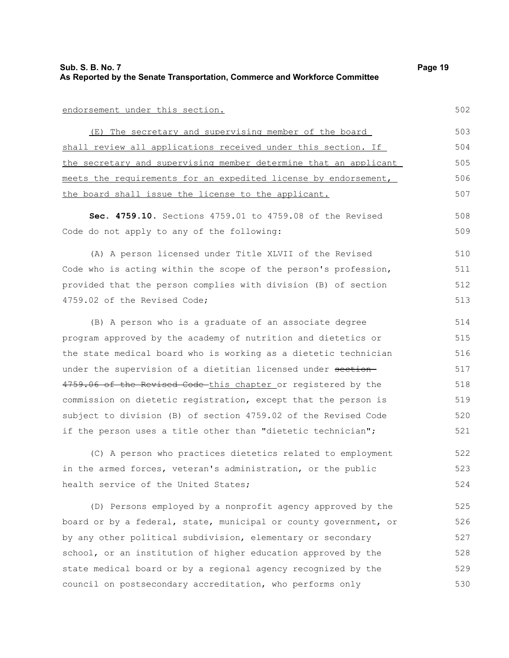endorsement under this section.

(E) The secretary and supervising member of the board shall review all applications received under this section. If the secretary and supervising member determine that an applicant meets the requirements for an expedited license by endorsement, the board shall issue the license to the applicant. 503 504 506 507

**Sec. 4759.10.** Sections 4759.01 to 4759.08 of the Revised Code do not apply to any of the following:

(A) A person licensed under Title XLVII of the Revised Code who is acting within the scope of the person's profession, provided that the person complies with division (B) of section 4759.02 of the Revised Code;

(B) A person who is a graduate of an associate degree program approved by the academy of nutrition and dietetics or the state medical board who is working as a dietetic technician under the supervision of a dietitian licensed under section-4759.06 of the Revised Code this chapter or registered by the commission on dietetic registration, except that the person is subject to division (B) of section 4759.02 of the Revised Code if the person uses a title other than "dietetic technician"; 514 515 516 517 518 519 520 521

(C) A person who practices dietetics related to employment in the armed forces, veteran's administration, or the public health service of the United States; 522 523 524

(D) Persons employed by a nonprofit agency approved by the board or by a federal, state, municipal or county government, or by any other political subdivision, elementary or secondary school, or an institution of higher education approved by the state medical board or by a regional agency recognized by the council on postsecondary accreditation, who performs only 525 526 527 528 529 530

505

508 509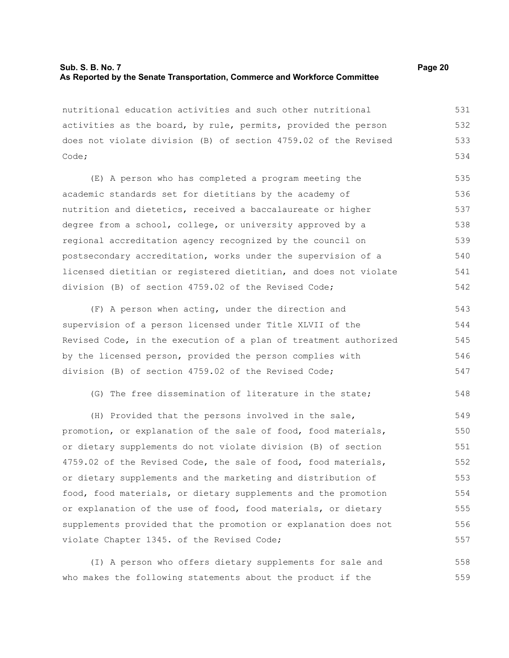nutritional education activities and such other nutritional activities as the board, by rule, permits, provided the person does not violate division (B) of section 4759.02 of the Revised Code; 531 532 533 534

(E) A person who has completed a program meeting the academic standards set for dietitians by the academy of nutrition and dietetics, received a baccalaureate or higher degree from a school, college, or university approved by a regional accreditation agency recognized by the council on postsecondary accreditation, works under the supervision of a licensed dietitian or registered dietitian, and does not violate division (B) of section 4759.02 of the Revised Code; 535 536 537 538 539 540 541 542

(F) A person when acting, under the direction and supervision of a person licensed under Title XLVII of the Revised Code, in the execution of a plan of treatment authorized by the licensed person, provided the person complies with division (B) of section 4759.02 of the Revised Code; 543 544 545 546 547

(G) The free dissemination of literature in the state; 548

(H) Provided that the persons involved in the sale, promotion, or explanation of the sale of food, food materials, or dietary supplements do not violate division (B) of section 4759.02 of the Revised Code, the sale of food, food materials, or dietary supplements and the marketing and distribution of food, food materials, or dietary supplements and the promotion or explanation of the use of food, food materials, or dietary supplements provided that the promotion or explanation does not violate Chapter 1345. of the Revised Code; 549 550 551 552 553 554 555 556 557

(I) A person who offers dietary supplements for sale and who makes the following statements about the product if the 558 559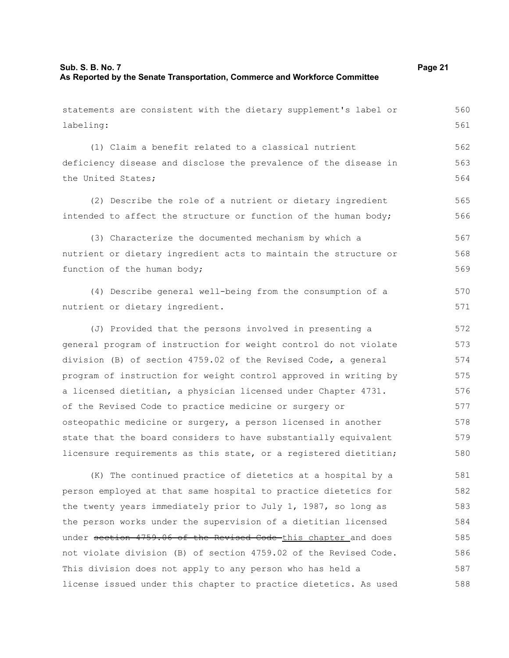statements are consistent with the dietary supplement's label or labeling:

(1) Claim a benefit related to a classical nutrient deficiency disease and disclose the prevalence of the disease in the United States; 562 563 564

(2) Describe the role of a nutrient or dietary ingredient intended to affect the structure or function of the human body; 565 566

(3) Characterize the documented mechanism by which a nutrient or dietary ingredient acts to maintain the structure or function of the human body; 567 568 569

(4) Describe general well-being from the consumption of a nutrient or dietary ingredient. 570 571

(J) Provided that the persons involved in presenting a general program of instruction for weight control do not violate division (B) of section 4759.02 of the Revised Code, a general program of instruction for weight control approved in writing by a licensed dietitian, a physician licensed under Chapter 4731. of the Revised Code to practice medicine or surgery or osteopathic medicine or surgery, a person licensed in another state that the board considers to have substantially equivalent licensure requirements as this state, or a registered dietitian; 572 573 574 575 576 577 578 579 580

(K) The continued practice of dietetics at a hospital by a person employed at that same hospital to practice dietetics for the twenty years immediately prior to July 1, 1987, so long as the person works under the supervision of a dietitian licensed under section 4759.06 of the Revised Code this chapter and does not violate division (B) of section 4759.02 of the Revised Code. This division does not apply to any person who has held a license issued under this chapter to practice dietetics. As used 581 582 583 584 585 586 587 588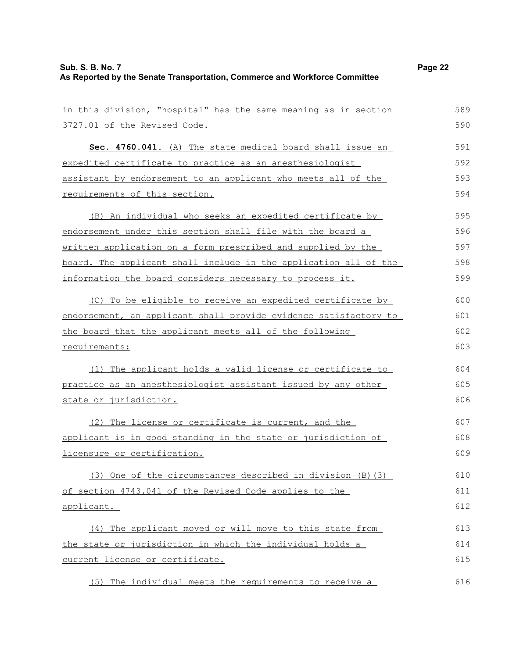### **Sub. S. B. No. 7 Page 22 As Reported by the Senate Transportation, Commerce and Workforce Committee**

| in this division, "hospital" has the same meaning as in section       | 589 |
|-----------------------------------------------------------------------|-----|
| 3727.01 of the Revised Code.                                          | 590 |
| Sec. 4760.041. (A) The state medical board shall issue an             | 591 |
| expedited certificate to practice as an anesthesiologist              | 592 |
| assistant by endorsement to an applicant who meets all of the         | 593 |
| requirements of this section.                                         | 594 |
| (B) An individual who seeks an expedited certificate by               | 595 |
| <u>endorsement under this section shall file with the board a </u>    | 596 |
| written application on a form prescribed and supplied by the          | 597 |
| board. The applicant shall include in the application all of the      | 598 |
| information the board considers necessary to process it.              | 599 |
| (C) To be eligible to receive an expedited certificate by             | 600 |
| endorsement, an applicant shall provide evidence satisfactory to      | 601 |
| the board that the applicant meets all of the following               | 602 |
| <u>requirements:</u>                                                  | 603 |
| (1) The applicant holds a valid license or certificate to             | 604 |
| <u>practice as an anesthesiologist assistant issued by any other </u> | 605 |
| <u>state or jurisdiction.</u>                                         | 606 |
| (2) The license or certificate is current, and the                    | 607 |
| applicant is in good standing in the state or jurisdiction of         | 608 |
| licensure or certification.                                           | 609 |
| (3) One of the circumstances described in division (B)(3)             | 610 |
| of section 4743.041 of the Revised Code applies to the                | 611 |
| applicant.                                                            | 612 |
| (4) The applicant moved or will move to this state from               | 613 |
| the state or jurisdiction in which the individual holds a             | 614 |
| <u>current license or certificate.</u>                                | 615 |
|                                                                       |     |

(5) The individual meets the requirements to receive a 616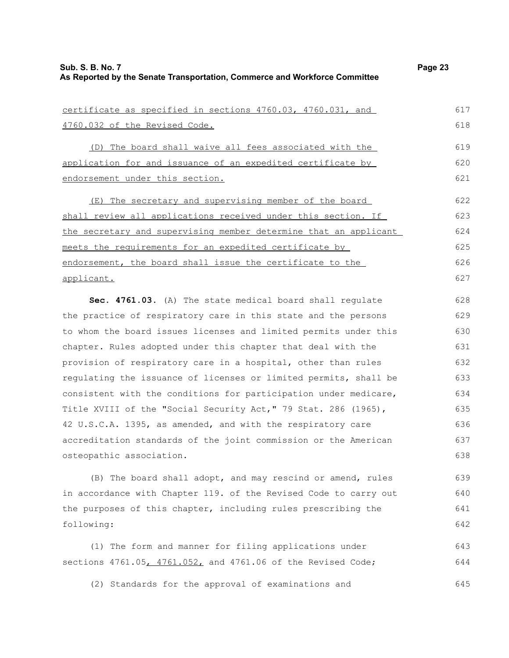| certificate as specified in sections 4760.03, 4760.031, and      | 617 |
|------------------------------------------------------------------|-----|
| 4760.032 of the Revised Code.                                    | 618 |
| (D) The board shall waive all fees associated with the           | 619 |
| application for and issuance of an expedited certificate by      | 620 |
| endorsement under this section.                                  | 621 |
| (E) The secretary and supervising member of the board            | 622 |
| shall review all applications received under this section. If    | 623 |
| the secretary and supervising member determine that an applicant | 624 |
| meets the requirements for an expedited certificate by           | 625 |
| endorsement, the board shall issue the certificate to the        | 626 |
| applicant.                                                       | 627 |
| Sec. 4761.03. (A) The state medical board shall requlate         | 628 |
| the practice of respiratory care in this state and the persons   | 629 |
| to whom the board issues licenses and limited permits under this | 630 |

chapter. Rules adopted under this chapter that deal with the provision of respiratory care in a hospital, other than rules regulating the issuance of licenses or limited permits, shall be consistent with the conditions for participation under medicare, Title XVIII of the "Social Security Act," 79 Stat. 286 (1965), 42 U.S.C.A. 1395, as amended, and with the respiratory care accreditation standards of the joint commission or the American osteopathic association. 631 632 633 634 635 636 637 638

(B) The board shall adopt, and may rescind or amend, rules in accordance with Chapter 119. of the Revised Code to carry out the purposes of this chapter, including rules prescribing the following: 639 640 641 642

(1) The form and manner for filing applications under sections  $4761.05$ ,  $4761.052$ , and  $4761.06$  of the Revised Code; 643 644

(2) Standards for the approval of examinations and 645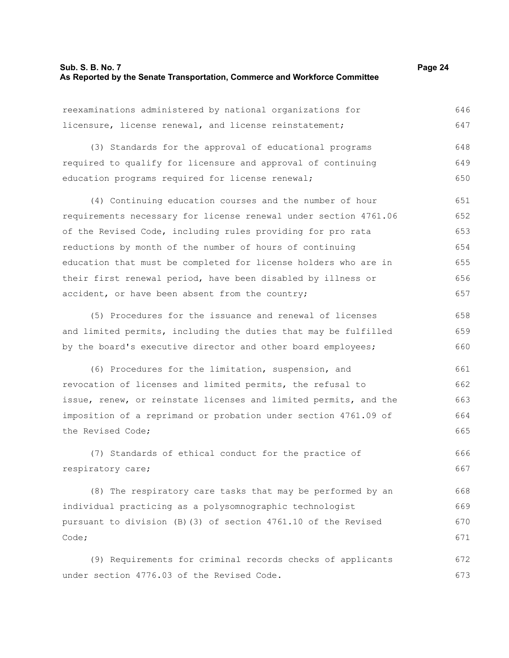#### **Sub. S. B. No. 7 Page 24 As Reported by the Senate Transportation, Commerce and Workforce Committee**

reexaminations administered by national organizations for licensure, license renewal, and license reinstatement; (3) Standards for the approval of educational programs required to qualify for licensure and approval of continuing education programs required for license renewal; (4) Continuing education courses and the number of hour requirements necessary for license renewal under section 4761.06 of the Revised Code, including rules providing for pro rata reductions by month of the number of hours of continuing education that must be completed for license holders who are in their first renewal period, have been disabled by illness or accident, or have been absent from the country; (5) Procedures for the issuance and renewal of licenses and limited permits, including the duties that may be fulfilled by the board's executive director and other board employees; (6) Procedures for the limitation, suspension, and revocation of licenses and limited permits, the refusal to issue, renew, or reinstate licenses and limited permits, and the 646 647 648 649 650 651 652 653 654 655 656 657 658 659 660 661 662 663

imposition of a reprimand or probation under section 4761.09 of the Revised Code; (7) Standards of ethical conduct for the practice of 664 665 666

respiratory care;

(8) The respiratory care tasks that may be performed by an individual practicing as a polysomnographic technologist pursuant to division (B)(3) of section 4761.10 of the Revised Code; 668 669 670 671

(9) Requirements for criminal records checks of applicants under section 4776.03 of the Revised Code. 672 673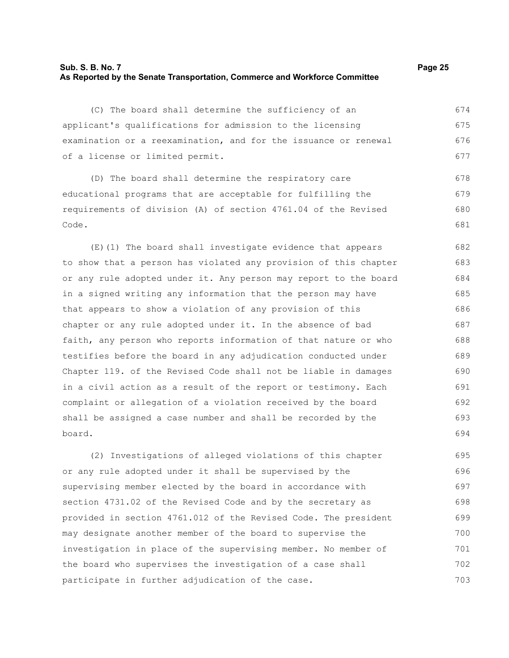#### **Sub. S. B. No. 7 Page 25 As Reported by the Senate Transportation, Commerce and Workforce Committee**

(C) The board shall determine the sufficiency of an applicant's qualifications for admission to the licensing examination or a reexamination, and for the issuance or renewal of a license or limited permit. 674 675 676 677

(D) The board shall determine the respiratory care educational programs that are acceptable for fulfilling the requirements of division (A) of section 4761.04 of the Revised Code.

(E)(1) The board shall investigate evidence that appears to show that a person has violated any provision of this chapter or any rule adopted under it. Any person may report to the board in a signed writing any information that the person may have that appears to show a violation of any provision of this chapter or any rule adopted under it. In the absence of bad faith, any person who reports information of that nature or who testifies before the board in any adjudication conducted under Chapter 119. of the Revised Code shall not be liable in damages in a civil action as a result of the report or testimony. Each complaint or allegation of a violation received by the board shall be assigned a case number and shall be recorded by the board. 682 683 684 685 686 687 688 689 690 691 692 693 694

(2) Investigations of alleged violations of this chapter or any rule adopted under it shall be supervised by the supervising member elected by the board in accordance with section 4731.02 of the Revised Code and by the secretary as provided in section 4761.012 of the Revised Code. The president may designate another member of the board to supervise the investigation in place of the supervising member. No member of the board who supervises the investigation of a case shall participate in further adjudication of the case. 695 696 697 698 699 700 701 702 703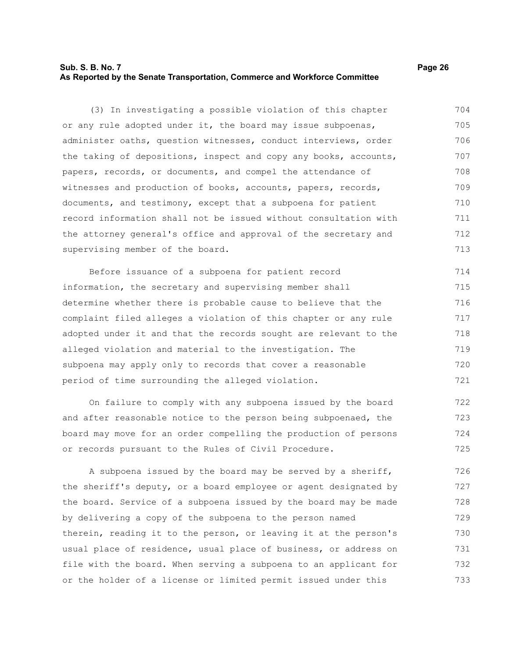#### **Sub. S. B. No. 7 Page 26 As Reported by the Senate Transportation, Commerce and Workforce Committee**

(3) In investigating a possible violation of this chapter or any rule adopted under it, the board may issue subpoenas, administer oaths, question witnesses, conduct interviews, order the taking of depositions, inspect and copy any books, accounts, papers, records, or documents, and compel the attendance of witnesses and production of books, accounts, papers, records, documents, and testimony, except that a subpoena for patient record information shall not be issued without consultation with the attorney general's office and approval of the secretary and supervising member of the board. 704 705 706 707 708 709 710 711 712 713

Before issuance of a subpoena for patient record information, the secretary and supervising member shall determine whether there is probable cause to believe that the complaint filed alleges a violation of this chapter or any rule adopted under it and that the records sought are relevant to the alleged violation and material to the investigation. The subpoena may apply only to records that cover a reasonable period of time surrounding the alleged violation. 714 715 716 717 718 719 720 721

On failure to comply with any subpoena issued by the board and after reasonable notice to the person being subpoenaed, the board may move for an order compelling the production of persons or records pursuant to the Rules of Civil Procedure. 722 723 724 725

A subpoena issued by the board may be served by a sheriff, the sheriff's deputy, or a board employee or agent designated by the board. Service of a subpoena issued by the board may be made by delivering a copy of the subpoena to the person named therein, reading it to the person, or leaving it at the person's usual place of residence, usual place of business, or address on file with the board. When serving a subpoena to an applicant for or the holder of a license or limited permit issued under this 726 727 728 729 730 731 732 733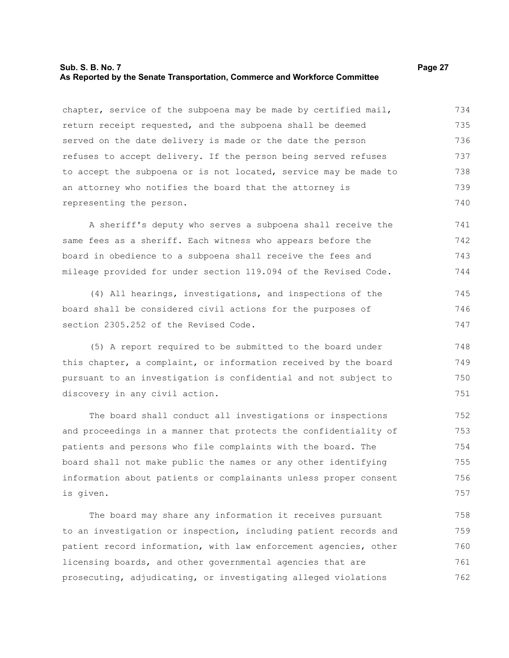#### **Sub. S. B. No. 7 Page 27 As Reported by the Senate Transportation, Commerce and Workforce Committee**

chapter, service of the subpoena may be made by certified mail, return receipt requested, and the subpoena shall be deemed served on the date delivery is made or the date the person refuses to accept delivery. If the person being served refuses to accept the subpoena or is not located, service may be made to an attorney who notifies the board that the attorney is representing the person. 734 735 736 737 738 739 740

A sheriff's deputy who serves a subpoena shall receive the same fees as a sheriff. Each witness who appears before the board in obedience to a subpoena shall receive the fees and mileage provided for under section 119.094 of the Revised Code. 741 742 743 744

(4) All hearings, investigations, and inspections of the board shall be considered civil actions for the purposes of section 2305.252 of the Revised Code. 745 746 747

(5) A report required to be submitted to the board under this chapter, a complaint, or information received by the board pursuant to an investigation is confidential and not subject to discovery in any civil action.

The board shall conduct all investigations or inspections and proceedings in a manner that protects the confidentiality of patients and persons who file complaints with the board. The board shall not make public the names or any other identifying information about patients or complainants unless proper consent is given.

The board may share any information it receives pursuant to an investigation or inspection, including patient records and patient record information, with law enforcement agencies, other licensing boards, and other governmental agencies that are prosecuting, adjudicating, or investigating alleged violations 758 759 760 761 762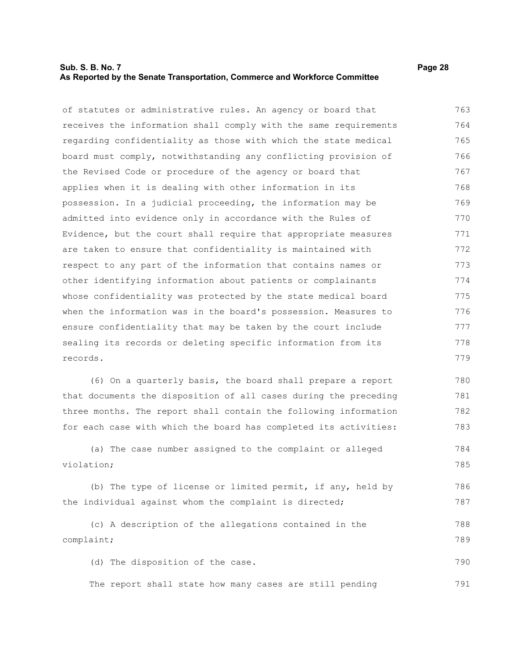#### **Sub. S. B. No. 7 Page 28 As Reported by the Senate Transportation, Commerce and Workforce Committee**

of statutes or administrative rules. An agency or board that receives the information shall comply with the same requirements regarding confidentiality as those with which the state medical board must comply, notwithstanding any conflicting provision of the Revised Code or procedure of the agency or board that applies when it is dealing with other information in its possession. In a judicial proceeding, the information may be admitted into evidence only in accordance with the Rules of Evidence, but the court shall require that appropriate measures are taken to ensure that confidentiality is maintained with respect to any part of the information that contains names or other identifying information about patients or complainants whose confidentiality was protected by the state medical board when the information was in the board's possession. Measures to ensure confidentiality that may be taken by the court include sealing its records or deleting specific information from its records. 763 764 765 766 767 768 769 770 771 772 773 774 775 776 777 778 779

(6) On a quarterly basis, the board shall prepare a report that documents the disposition of all cases during the preceding three months. The report shall contain the following information for each case with which the board has completed its activities: 780 781 782 783

(a) The case number assigned to the complaint or alleged violation; 784 785

(b) The type of license or limited permit, if any, held by the individual against whom the complaint is directed; 786 787

```
(c) A description of the allegations contained in the
complaint;
                                                                             788
                                                                             789
```
(d) The disposition of the case. 790

The report shall state how many cases are still pending 791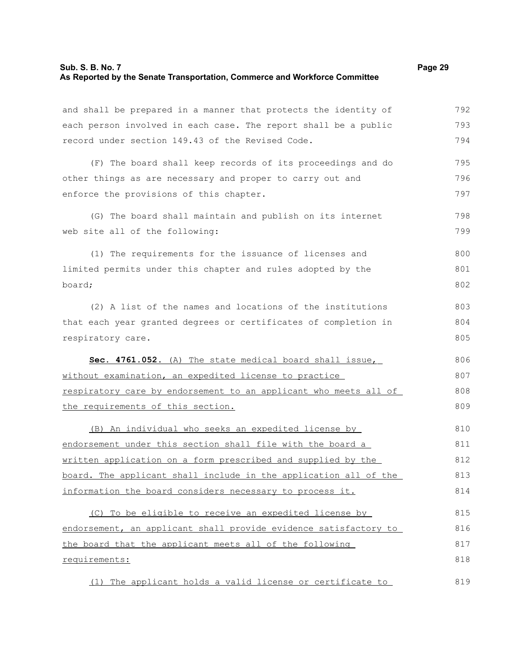#### **Sub. S. B. No. 7 Page 29 As Reported by the Senate Transportation, Commerce and Workforce Committee**

and shall be prepared in a manner that protects the identity of

each person involved in each case. The report shall be a public record under section 149.43 of the Revised Code. (F) The board shall keep records of its proceedings and do other things as are necessary and proper to carry out and enforce the provisions of this chapter. (G) The board shall maintain and publish on its internet web site all of the following: (1) The requirements for the issuance of licenses and limited permits under this chapter and rules adopted by the board; (2) A list of the names and locations of the institutions that each year granted degrees or certificates of completion in respiratory care. 793 794 795 796 797 798 799 800 801 802 803 804 805

 **Sec. 4761.052.** (A) The state medical board shall issue, without examination, an expedited license to practice respiratory care by endorsement to an applicant who meets all of the requirements of this section. 806 807 808 809

(B) An individual who seeks an expedited license by endorsement under this section shall file with the board a written application on a form prescribed and supplied by the board. The applicant shall include in the application all of the information the board considers necessary to process it. 810 811 812 813 814

(C) To be eligible to receive an expedited license by endorsement, an applicant shall provide evidence satisfactory to the board that the applicant meets all of the following requirements: 815 816 817 818

(1) The applicant holds a valid license or certificate to 819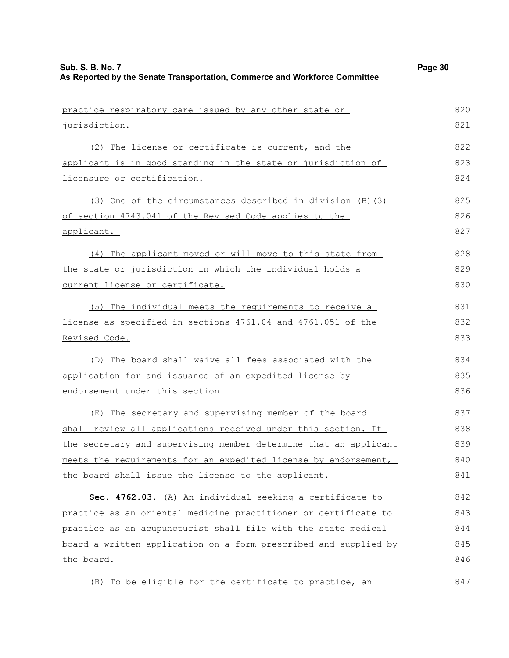| practice respiratory care issued by any other state or           | 820 |
|------------------------------------------------------------------|-----|
| jurisdiction.                                                    | 821 |
| (2) The license or certificate is current, and the               | 822 |
| applicant is in good standing in the state or jurisdiction of    | 823 |
| <u>licensure or certification.</u>                               | 824 |
| (3) One of the circumstances described in division (B) (3)       | 825 |
| of section 4743.041 of the Revised Code applies to the           | 826 |
| applicant.                                                       | 827 |
| (4) The applicant moved or will move to this state from          | 828 |
| the state or jurisdiction in which the individual holds a        | 829 |
| current license or certificate.                                  | 830 |
| (5) The individual meets the requirements to receive a           | 831 |
| license as specified in sections 4761.04 and 4761.051 of the     | 832 |
| Revised Code.                                                    | 833 |
| (D) The board shall waive all fees associated with the           | 834 |
| application for and issuance of an expedited license by          | 835 |
| endorsement under this section.                                  | 836 |
| (E) The secretary and supervising member of the board            | 837 |
| shall review all applications received under this section. If    | 838 |
| the secretary and supervising member determine that an applicant | 839 |
| meets the requirements for an expedited license by endorsement,  | 840 |
| the board shall issue the license to the applicant.              | 841 |
| Sec. 4762.03. (A) An individual seeking a certificate to         | 842 |
| practice as an oriental medicine practitioner or certificate to  | 843 |
| practice as an acupuncturist shall file with the state medical   | 844 |
| board a written application on a form prescribed and supplied by | 845 |

(B) To be eligible for the certificate to practice, an

the board.

847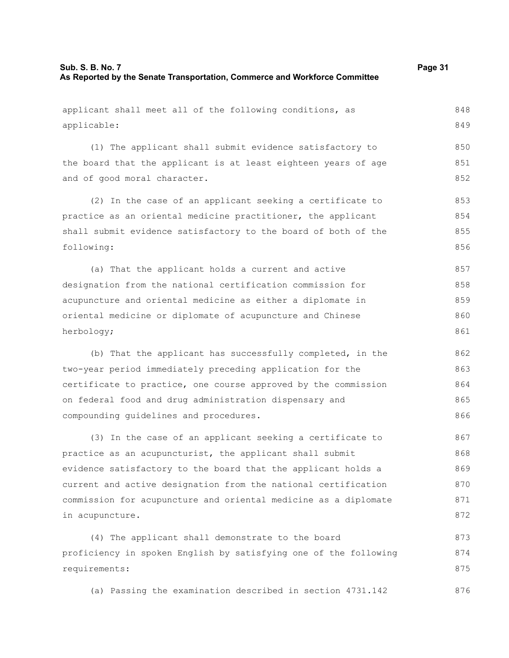applicable:

applicant shall meet all of the following conditions, as (1) The applicant shall submit evidence satisfactory to the board that the applicant is at least eighteen years of age and of good moral character. (2) In the case of an applicant seeking a certificate to

practice as an oriental medicine practitioner, the applicant shall submit evidence satisfactory to the board of both of the following: 854 855 856

(a) That the applicant holds a current and active designation from the national certification commission for acupuncture and oriental medicine as either a diplomate in oriental medicine or diplomate of acupuncture and Chinese herbology; 857 858 859 860 861

(b) That the applicant has successfully completed, in the two-year period immediately preceding application for the certificate to practice, one course approved by the commission on federal food and drug administration dispensary and compounding guidelines and procedures. 862 863 864 865 866

(3) In the case of an applicant seeking a certificate to practice as an acupuncturist, the applicant shall submit evidence satisfactory to the board that the applicant holds a current and active designation from the national certification commission for acupuncture and oriental medicine as a diplomate in acupuncture. 867 868 869 870 871 872

(4) The applicant shall demonstrate to the board proficiency in spoken English by satisfying one of the following requirements: 873 874 875

(a) Passing the examination described in section 4731.142 876

848 849

850 851 852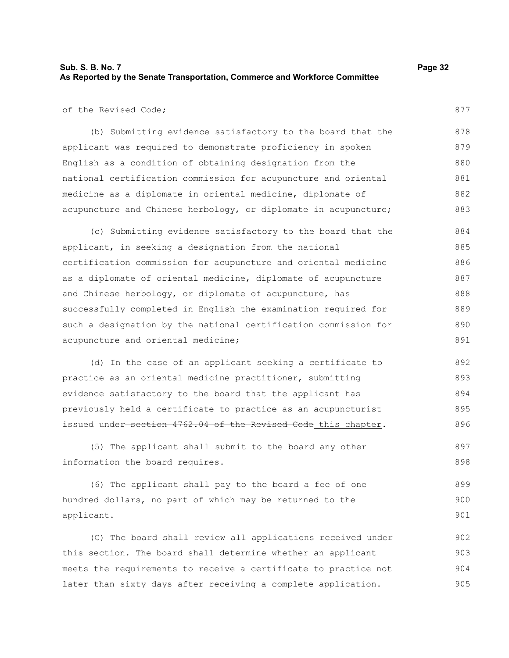877

of the Revised Code;

(b) Submitting evidence satisfactory to the board that the applicant was required to demonstrate proficiency in spoken English as a condition of obtaining designation from the national certification commission for acupuncture and oriental medicine as a diplomate in oriental medicine, diplomate of acupuncture and Chinese herbology, or diplomate in acupuncture; 878 879 880 881 882 883

(c) Submitting evidence satisfactory to the board that the applicant, in seeking a designation from the national certification commission for acupuncture and oriental medicine as a diplomate of oriental medicine, diplomate of acupuncture and Chinese herbology, or diplomate of acupuncture, has successfully completed in English the examination required for such a designation by the national certification commission for acupuncture and oriental medicine; 884 885 886 887 888 889 890 891

(d) In the case of an applicant seeking a certificate to practice as an oriental medicine practitioner, submitting evidence satisfactory to the board that the applicant has previously held a certificate to practice as an acupuncturist issued under-section 4762.04 of the Revised Code this chapter. 892 893 894 895 896

(5) The applicant shall submit to the board any other information the board requires. 897 898

(6) The applicant shall pay to the board a fee of one hundred dollars, no part of which may be returned to the applicant. 899 900 901

(C) The board shall review all applications received under this section. The board shall determine whether an applicant meets the requirements to receive a certificate to practice not later than sixty days after receiving a complete application. 902 903 904 905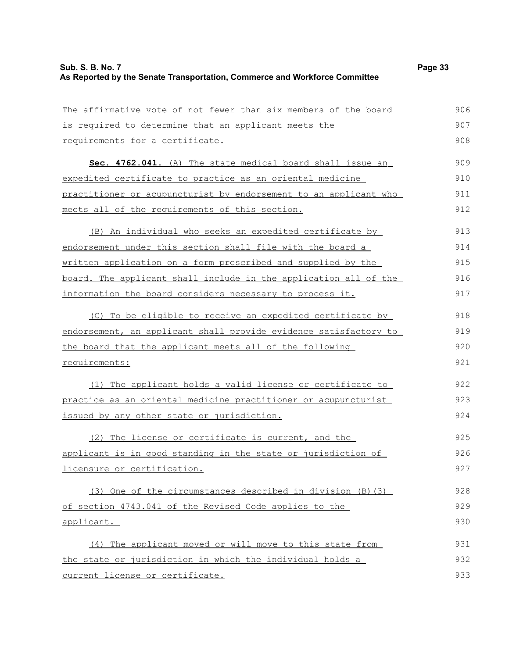## **Sub. S. B. No. 7 Page 33 As Reported by the Senate Transportation, Commerce and Workforce Committee**

| The affirmative vote of not fewer than six members of the board  | 906 |
|------------------------------------------------------------------|-----|
| is required to determine that an applicant meets the             | 907 |
| requirements for a certificate.                                  | 908 |
| Sec. 4762.041. (A) The state medical board shall issue an        | 909 |
| expedited certificate to practice as an oriental medicine        | 910 |
| practitioner or acupuncturist by endorsement to an applicant who | 911 |
| meets all of the requirements of this section.                   | 912 |
| (B) An individual who seeks an expedited certificate by          | 913 |
| endorsement under this section shall file with the board a       | 914 |
| written application on a form prescribed and supplied by the     | 915 |
| board. The applicant shall include in the application all of the | 916 |
| information the board considers necessary to process it.         | 917 |
| (C) To be eligible to receive an expedited certificate by        | 918 |
| endorsement, an applicant shall provide evidence satisfactory to | 919 |
| the board that the applicant meets all of the following          | 920 |
| requirements:                                                    | 921 |
| (1) The applicant holds a valid license or certificate to        | 922 |
| practice as an oriental medicine practitioner or acupuncturist   | 923 |
| issued by any other state or jurisdiction.                       | 924 |
| (2) The license or certificate is current, and the               | 925 |
| applicant is in good standing in the state or jurisdiction of    | 926 |
| licensure or certification.                                      | 927 |
| (3) One of the circumstances described in division (B) (3)       | 928 |
| of section 4743.041 of the Revised Code applies to the           | 929 |
| applicant.                                                       | 930 |
| (4) The applicant moved or will move to this state from          | 931 |
| the state or jurisdiction in which the individual holds a        | 932 |
| current license or certificate.                                  | 933 |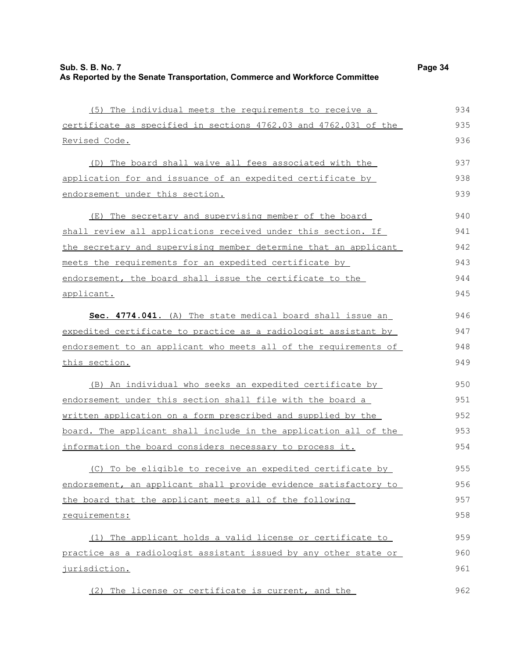| (5) The individual meets the requirements to receive a           | 934 |
|------------------------------------------------------------------|-----|
| certificate as specified in sections 4762.03 and 4762.031 of the | 935 |
| <u>Revised Code.</u>                                             | 936 |
| (D) The board shall waive all fees associated with the           | 937 |
| application for and issuance of an expedited certificate by      | 938 |
| endorsement under this section.                                  | 939 |
| (E) The secretary and supervising member of the board            | 940 |
| shall review all applications received under this section. If    | 941 |
| the secretary and supervising member determine that an applicant | 942 |
| meets the requirements for an expedited certificate by           | 943 |
| endorsement, the board shall issue the certificate to the        | 944 |
| applicant.                                                       | 945 |
| Sec. 4774.041. (A) The state medical board shall issue an        | 946 |
| expedited certificate to practice as a radiologist assistant by  | 947 |
| endorsement to an applicant who meets all of the requirements of | 948 |
| this section.                                                    | 949 |
| (B) An individual who seeks an expedited certificate by          | 950 |
| endorsement under this section shall file with the board a       | 951 |
| written application on a form prescribed and supplied by the     | 952 |
| board. The applicant shall include in the application all of the | 953 |
| information the board considers necessary to process it.         | 954 |
| (C) To be eligible to receive an expedited certificate by        | 955 |
| endorsement, an applicant shall provide evidence satisfactory to | 956 |
| the board that the applicant meets all of the following          | 957 |
| requirements:                                                    | 958 |
| (1) The applicant holds a valid license or certificate to        | 959 |
| practice as a radiologist assistant issued by any other state or | 960 |
| jurisdiction.                                                    | 961 |
| (2) The license or certificate is current, and the               | 962 |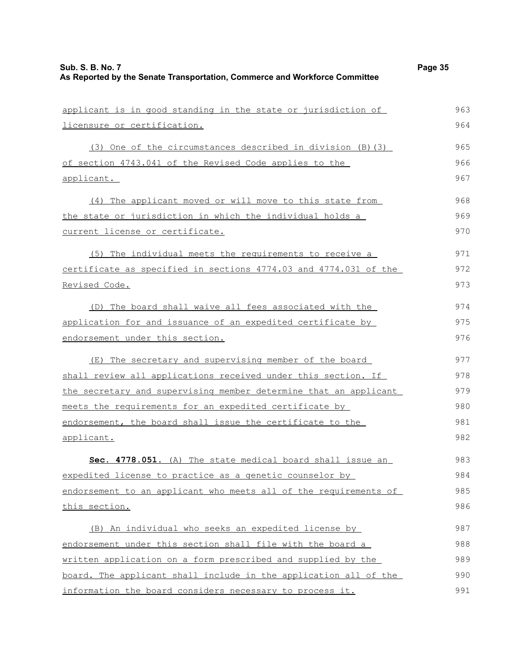| applicant is in good standing in the state or jurisdiction of    | 963 |
|------------------------------------------------------------------|-----|
| licensure or certification.                                      | 964 |
| (3) One of the circumstances described in division (B) (3)       | 965 |
| of section 4743.041 of the Revised Code applies to the           | 966 |
| applicant.                                                       | 967 |
| (4) The applicant moved or will move to this state from          | 968 |
| the state or jurisdiction in which the individual holds a        | 969 |
| current license or certificate.                                  | 970 |
| (5) The individual meets the requirements to receive a           | 971 |
| certificate as specified in sections 4774.03 and 4774.031 of the | 972 |
| Revised Code.                                                    | 973 |
| (D) The board shall waive all fees associated with the           | 974 |
| application for and issuance of an expedited certificate by      | 975 |
| endorsement under this section.                                  | 976 |
| (E) The secretary and supervising member of the board            | 977 |
| shall review all applications received under this section. If    | 978 |
| the secretary and supervising member determine that an applicant | 979 |
| meets the requirements for an expedited certificate by           | 980 |
| endorsement, the board shall issue the certificate to the        | 981 |
| applicant.                                                       | 982 |
| Sec. 4778.051. (A) The state medical board shall issue an        | 983 |
| expedited license to practice as a genetic counselor by          | 984 |
| endorsement to an applicant who meets all of the requirements of | 985 |
| this section.                                                    | 986 |
| (B) An individual who seeks an expedited license by              | 987 |
| endorsement under this section shall file with the board a       | 988 |
| written application on a form prescribed and supplied by the     | 989 |
| board. The applicant shall include in the application all of the | 990 |
| information the board considers necessary to process it.         | 991 |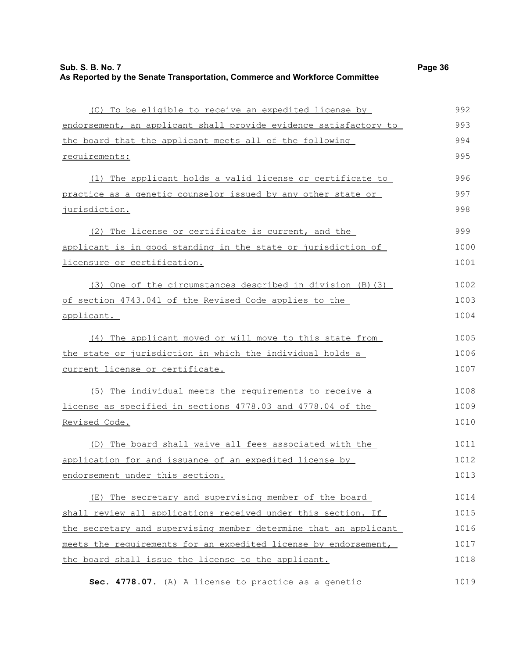| (C) To be eligible to receive an expedited license by            | 992  |
|------------------------------------------------------------------|------|
| endorsement, an applicant shall provide evidence satisfactory to | 993  |
| the board that the applicant meets all of the following          | 994  |
| requirements:                                                    | 995  |
| (1) The applicant holds a valid license or certificate to        | 996  |
| practice as a genetic counselor issued by any other state or     | 997  |
| jurisdiction.                                                    | 998  |
| (2) The license or certificate is current, and the               | 999  |
| applicant is in good standing in the state or jurisdiction of    | 1000 |
| licensure or certification.                                      | 1001 |
| (3) One of the circumstances described in division (B) (3)       | 1002 |
| of section 4743.041 of the Revised Code applies to the           | 1003 |
| applicant.                                                       | 1004 |
| (4) The applicant moved or will move to this state from          | 1005 |
| the state or jurisdiction in which the individual holds a        | 1006 |
| current license or certificate.                                  | 1007 |
| (5) The individual meets the requirements to receive a           | 1008 |
| license as specified in sections 4778.03 and 4778.04 of the      | 1009 |
| Revised Code.                                                    | 1010 |
| (D) The board shall waive all fees associated with the           | 1011 |
| application for and issuance of an expedited license by          | 1012 |
| endorsement under this section.                                  | 1013 |
| (E) The secretary and supervising member of the board            | 1014 |
| shall review all applications received under this section. If    | 1015 |
| the secretary and supervising member determine that an applicant | 1016 |
| meets the requirements for an expedited license by endorsement,  | 1017 |
| the board shall issue the license to the applicant.              | 1018 |
| Sec. 4778.07. (A) A license to practice as a genetic             | 1019 |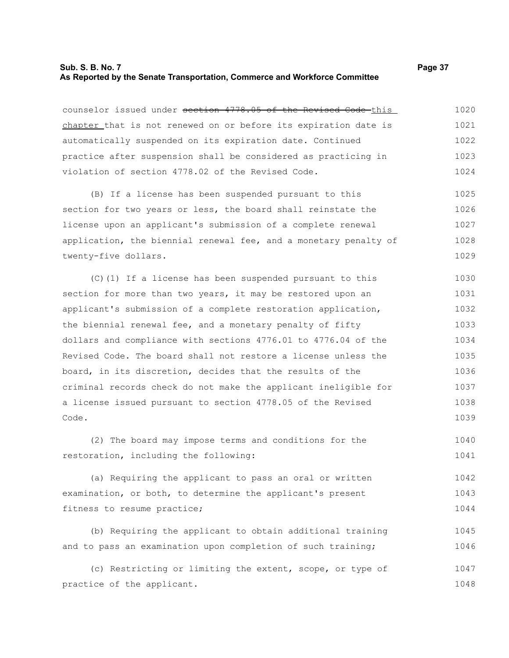#### **Sub. S. B. No. 7 Page 37 As Reported by the Senate Transportation, Commerce and Workforce Committee**

counselor issued under section 4778.05 of the Revised Code-this chapter that is not renewed on or before its expiration date is automatically suspended on its expiration date. Continued practice after suspension shall be considered as practicing in violation of section 4778.02 of the Revised Code. 1020 1021 1022 1023 1024

(B) If a license has been suspended pursuant to this section for two years or less, the board shall reinstate the license upon an applicant's submission of a complete renewal application, the biennial renewal fee, and a monetary penalty of twenty-five dollars. 1025 1026 1027 1028 1029

(C)(1) If a license has been suspended pursuant to this section for more than two years, it may be restored upon an applicant's submission of a complete restoration application, the biennial renewal fee, and a monetary penalty of fifty dollars and compliance with sections 4776.01 to 4776.04 of the Revised Code. The board shall not restore a license unless the board, in its discretion, decides that the results of the criminal records check do not make the applicant ineligible for a license issued pursuant to section 4778.05 of the Revised Code. 1030 1031 1032 1033 1034 1035 1036 1037 1038 1039

(2) The board may impose terms and conditions for the restoration, including the following: 1040 1041

(a) Requiring the applicant to pass an oral or written examination, or both, to determine the applicant's present fitness to resume practice; 1042 1043 1044

(b) Requiring the applicant to obtain additional training and to pass an examination upon completion of such training; 1045 1046

(c) Restricting or limiting the extent, scope, or type of practice of the applicant. 1047 1048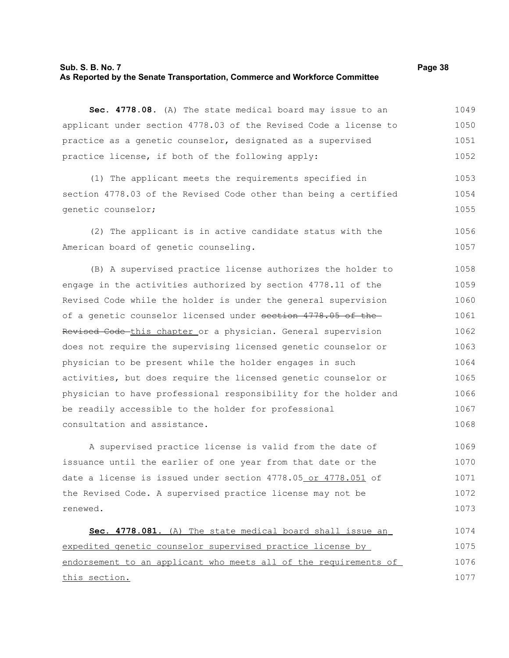#### **Sub. S. B. No. 7 Page 38 As Reported by the Senate Transportation, Commerce and Workforce Committee**

**Sec. 4778.08.** (A) The state medical board may issue to an applicant under section 4778.03 of the Revised Code a license to practice as a genetic counselor, designated as a supervised practice license, if both of the following apply: 1049 1050 1051 1052

(1) The applicant meets the requirements specified in section 4778.03 of the Revised Code other than being a certified genetic counselor; 1053 1054 1055

(2) The applicant is in active candidate status with the American board of genetic counseling. 1056 1057

(B) A supervised practice license authorizes the holder to engage in the activities authorized by section 4778.11 of the Revised Code while the holder is under the general supervision of a genetic counselor licensed under section 4778.05 of the Revised Code this chapter or a physician. General supervision does not require the supervising licensed genetic counselor or physician to be present while the holder engages in such activities, but does require the licensed genetic counselor or physician to have professional responsibility for the holder and be readily accessible to the holder for professional consultation and assistance. 1058 1059 1060 1061 1062 1063 1064 1065 1066 1067 1068

A supervised practice license is valid from the date of issuance until the earlier of one year from that date or the date a license is issued under section 4778.05 or 4778.051 of the Revised Code. A supervised practice license may not be renewed. 1069 1070 1071 1072 1073

 **Sec. 4778.081.** (A) The state medical board shall issue an expedited genetic counselor supervised practice license by endorsement to an applicant who meets all of the requirements of this section. 1074 1075 1076 1077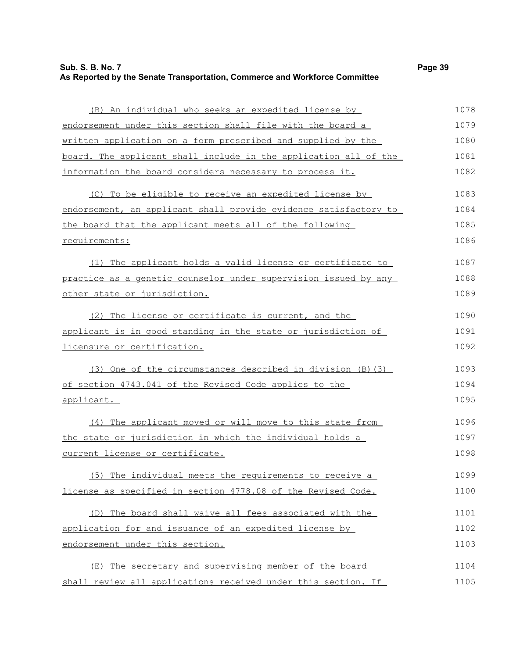| Sub. S. B. No. 7                                                           | Page 39 |
|----------------------------------------------------------------------------|---------|
| As Reported by the Senate Transportation, Commerce and Workforce Committee |         |

| (B) An individual who seeks an expedited license by              | 1078 |
|------------------------------------------------------------------|------|
| endorsement under this section shall file with the board a       | 1079 |
| written application on a form prescribed and supplied by the     | 1080 |
| board. The applicant shall include in the application all of the | 1081 |
| information the board considers necessary to process it.         | 1082 |
| (C) To be eligible to receive an expedited license by            | 1083 |
| endorsement, an applicant shall provide evidence satisfactory to | 1084 |
| the board that the applicant meets all of the following          | 1085 |
| requirements:                                                    | 1086 |
| (1) The applicant holds a valid license or certificate to        | 1087 |
| practice as a genetic counselor under supervision issued by any  | 1088 |
| other state or jurisdiction.                                     | 1089 |
| (2) The license or certificate is current, and the               | 1090 |
| applicant is in good standing in the state or jurisdiction of    | 1091 |
| licensure or certification.                                      | 1092 |
| (3) One of the circumstances described in division (B) (3)       | 1093 |
| of section 4743.041 of the Revised Code applies to the           | 1094 |
| applicant.                                                       | 1095 |
| (4) The applicant moved or will move to this state from          | 1096 |
| the state or jurisdiction in which the individual holds a        | 1097 |
| current license or certificate.                                  | 1098 |
| (5) The individual meets the requirements to receive a           | 1099 |
| license as specified in section 4778.08 of the Revised Code.     | 1100 |
| (D) The board shall waive all fees associated with the           | 1101 |
| application for and issuance of an expedited license by          | 1102 |
| endorsement under this section.                                  | 1103 |
| (E) The secretary and supervising member of the board            | 1104 |
| shall review all applications received under this section. If    | 1105 |